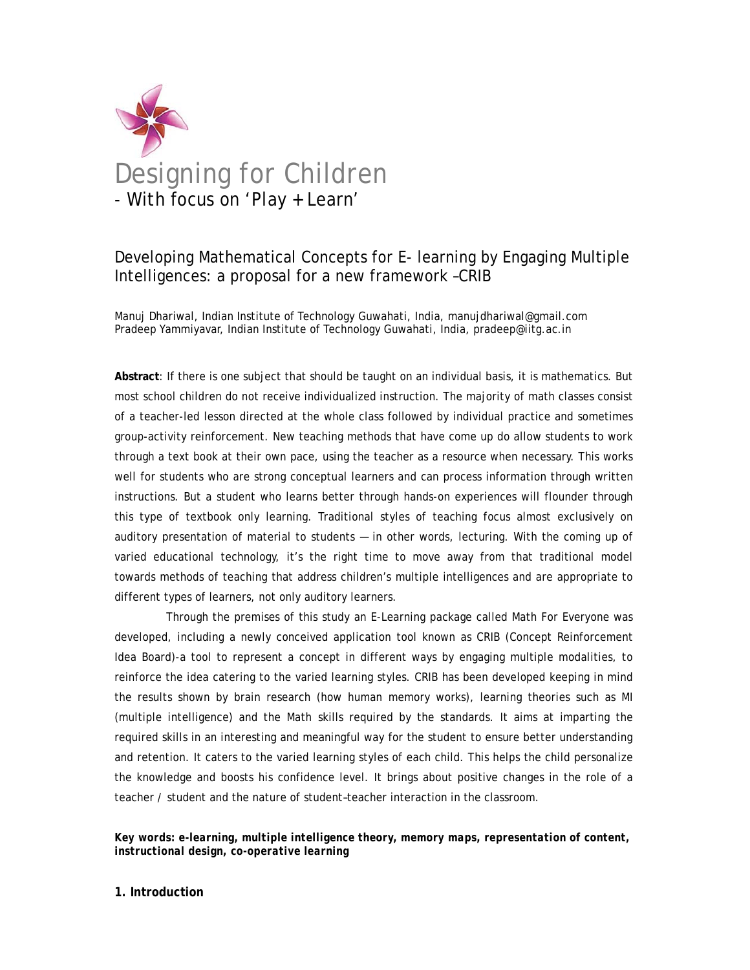

# Developing Mathematical Concepts for E- learning by Engaging Multiple Intelligences: a proposal for a new framework –CRIB

Manuj Dhariwal, Indian Institute of Technology Guwahati, India, manujdhariwal@gmail.com Pradeep Yammiyavar, Indian Institute of Technology Guwahati, India, pradeep@iitg.ac.in

**Abstract**: If there is one subject that should be taught on an individual basis, it is mathematics. But most school children do not receive individualized instruction. The majority of math classes consist of a teacher-led lesson directed at the whole class followed by individual practice and sometimes group-activity reinforcement. New teaching methods that have come up do allow students to work through a text book at their own pace, using the teacher as a resource when necessary. This works well for students who are strong conceptual learners and can process information through written instructions. But a student who learns better through hands-on experiences will flounder through this type of textbook only learning. Traditional styles of teaching focus almost exclusively on auditory presentation of material to students — in other words, lecturing. With the coming up of varied educational technology, it's the right time to move away from that traditional model towards methods of teaching that address children's multiple intelligences and are appropriate to different types of learners, not only auditory learners.

 Through the premises of this study an E-Learning package called Math For Everyone was developed, including a newly conceived application tool known as CRIB (Concept Reinforcement Idea Board)-a tool to represent a concept in different ways by engaging multiple modalities, to reinforce the idea catering to the varied learning styles. CRIB has been developed keeping in mind the results shown by brain research (how human memory works), learning theories such as MI (multiple intelligence) and the Math skills required by the standards. It aims at imparting the required skills in an interesting and meaningful way for the student to ensure better understanding and retention. It caters to the varied learning styles of each child. This helps the child personalize the knowledge and boosts his confidence level. It brings about positive changes in the role of a teacher / student and the nature of student–teacher interaction in the classroom.

*Key words: e-learning, multiple intelligence theory, memory maps, representation of content, instructional design, co-operative learning* 

#### **1. Introduction**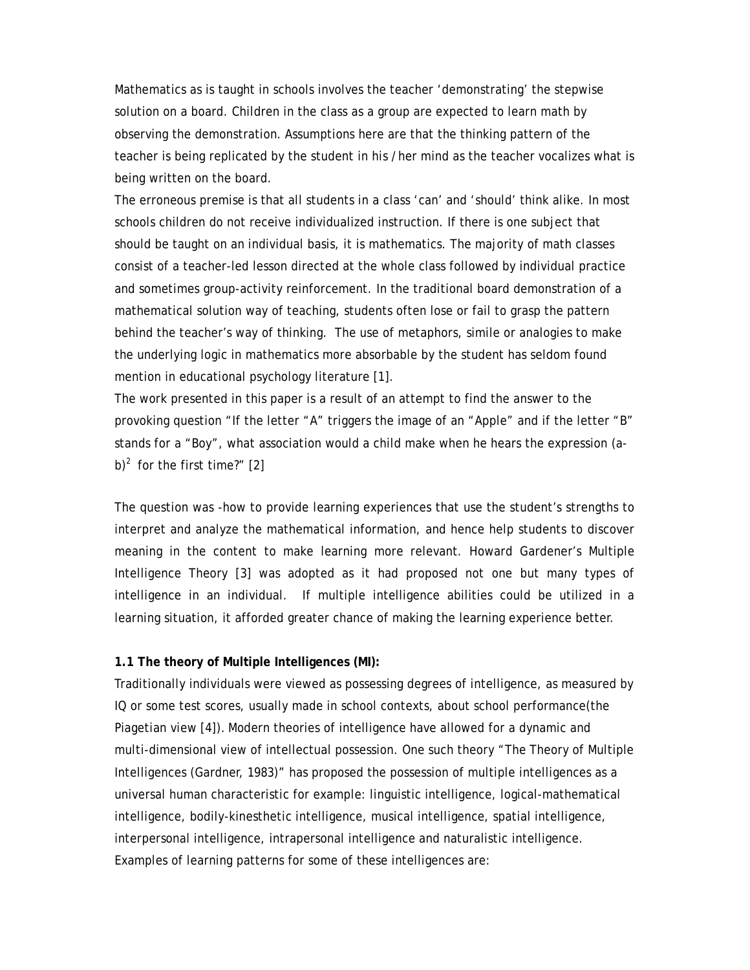Mathematics as is taught in schools involves the teacher 'demonstrating' the stepwise solution on a board. Children in the class as a group are expected to learn math by observing the demonstration. Assumptions here are that the thinking pattern of the teacher is being replicated by the student in his /her mind as the teacher vocalizes what is being written on the board.

The erroneous premise is that all students in a class 'can' and 'should' think alike. In most schools children do not receive individualized instruction. If there is one subject that should be taught on an individual basis, it is mathematics. The majority of math classes consist of a teacher-led lesson directed at the whole class followed by individual practice and sometimes group-activity reinforcement. In the traditional board demonstration of a mathematical solution way of teaching, students often lose or fail to grasp the pattern behind the teacher's way of thinking. The use of metaphors, simile or analogies to make the underlying logic in mathematics more absorbable by the student has seldom found mention in educational psychology literature [1].

The work presented in this paper is a result of an attempt to find the answer to the provoking question "If the letter "A" triggers the image of an "Apple" and if the letter "B" stands for a "Boy", what association would a child make when he hears the expression (ab)<sup>2</sup> for the first time?" [2]

The question was -how to provide learning experiences that use the student's strengths to interpret and analyze the mathematical information, and hence help students to discover meaning in the content to make learning more relevant. Howard Gardener's Multiple Intelligence Theory [3] was adopted as it had proposed not one but many types of intelligence in an individual. If multiple intelligence abilities could be utilized in a learning situation, it afforded greater chance of making the learning experience better.

#### **1.1 The theory of Multiple Intelligences (MI):**

Traditionally individuals were viewed as possessing degrees of intelligence, as measured by IQ or some test scores, usually made in school contexts, about school performance(the Piagetian view [4]). Modern theories of intelligence have allowed for a dynamic and multi-dimensional view of intellectual possession. One such theory "The Theory of Multiple Intelligences (Gardner, 1983)" has proposed the possession of multiple intelligences as a universal human characteristic for example: linguistic intelligence, logical-mathematical intelligence, bodily-kinesthetic intelligence, musical intelligence, spatial intelligence, interpersonal intelligence, intrapersonal intelligence and naturalistic intelligence. Examples of learning patterns for some of these intelligences are: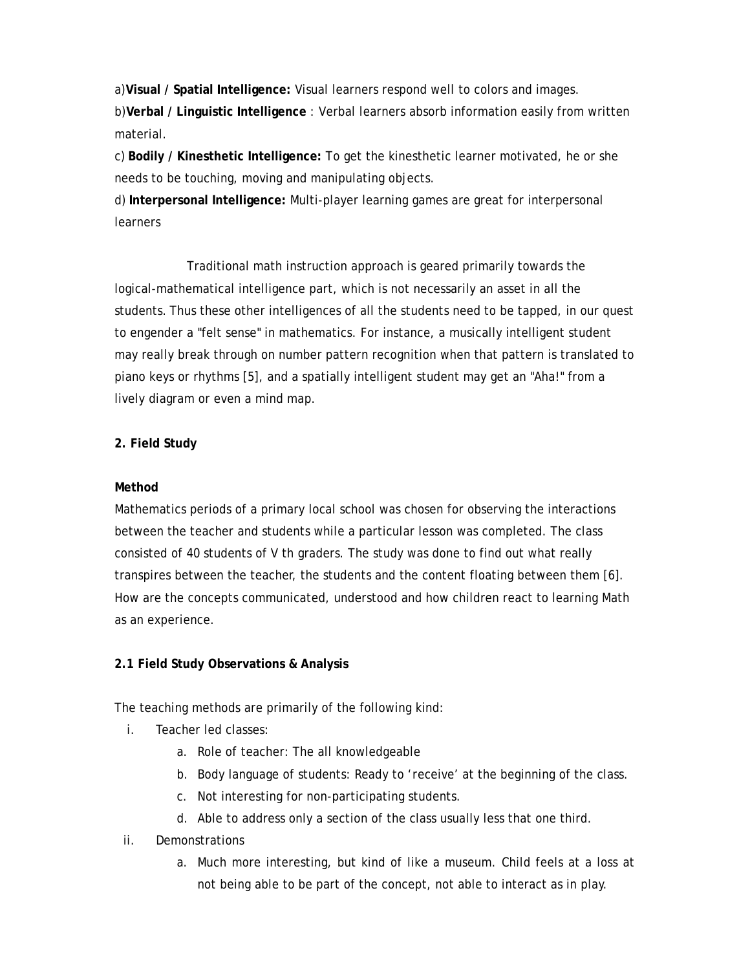a)**Visual / Spatial Intelligence:** Visual learners respond well to colors and images. b)**Verbal / Linguistic Intelligence** : Verbal learners absorb information easily from written material.

c) **Bodily / Kinesthetic Intelligence:** To get the kinesthetic learner motivated, he or she needs to be touching, moving and manipulating objects.

d) **Interpersonal Intelligence:** Multi-player learning games are great for interpersonal **learners** 

 Traditional math instruction approach is geared primarily towards the logical-mathematical intelligence part, which is not necessarily an asset in all the students. Thus these other intelligences of all the students need to be tapped, in our quest to engender a "felt sense" in mathematics. For instance, a musically intelligent student may really break through on number pattern recognition when that pattern is translated to piano keys or rhythms [5], and a spatially intelligent student may get an "Aha!" from a lively diagram or even a mind map.

# **2. Field Study**

# **Method**

Mathematics periods of a primary local school was chosen for observing the interactions between the teacher and students while a particular lesson was completed. The class consisted of 40 students of V th graders. The study was done to find out what really transpires between the teacher, the students and the content floating between them [6]. How are the concepts communicated, understood and how children react to learning Math as an experience.

# **2.1 Field Study Observations & Analysis**

The teaching methods are primarily of the following kind:

- i. Teacher led classes:
	- a. Role of teacher: The all knowledgeable
	- b. Body language of students: Ready to 'receive' at the beginning of the class.
	- c. Not interesting for non-participating students.
	- d. Able to address only a section of the class usually less that one third.
- ii. Demonstrations
	- a. Much more interesting, but kind of like a museum. Child feels at a loss at not being able to be part of the concept, not able to interact as in play.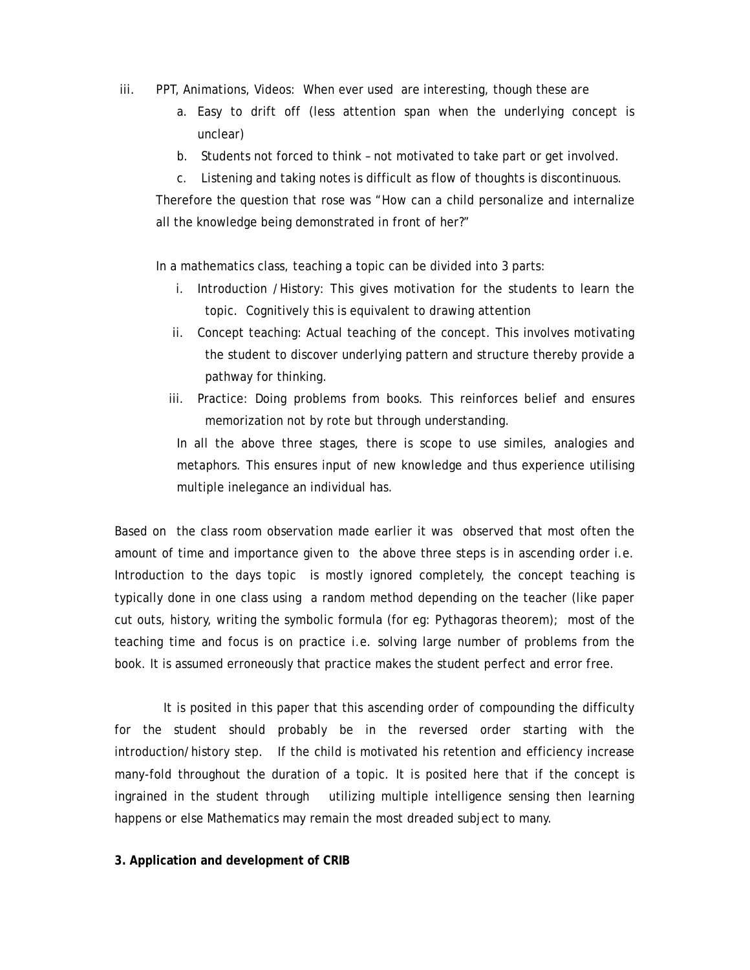- iii. PPT, Animations, Videos: When ever used are interesting, though these are
	- a. Easy to drift off (less attention span when the underlying concept is unclear)
	- b. Students not forced to think not motivated to take part or get involved.
	- c. Listening and taking notes is difficult as flow of thoughts is discontinuous.

Therefore the question that rose was "How can a child personalize and internalize all the knowledge being demonstrated in front of her?"

In a mathematics class, teaching a topic can be divided into 3 parts:

- i. Introduction /History: This gives motivation for the students to learn the topic. Cognitively this is equivalent to drawing attention
- ii. Concept teaching: Actual teaching of the concept. This involves motivating the student to discover underlying pattern and structure thereby provide a pathway for thinking.
- iii. Practice: Doing problems from books. This reinforces belief and ensures memorization not by rote but through understanding.

In all the above three stages, there is scope to use similes, analogies and metaphors. This ensures input of new knowledge and thus experience utilising multiple inelegance an individual has.

Based on the class room observation made earlier it was observed that most often the amount of time and importance given to the above three steps is in ascending order i.e. Introduction to the days topic is mostly ignored completely, the concept teaching is typically done in one class using a random method depending on the teacher (like paper cut outs, history, writing the symbolic formula (for eg: Pythagoras theorem); most of the teaching time and focus is on practice i.e. solving large number of problems from the book. It is assumed erroneously that practice makes the student perfect and error free.

It is posited in this paper that this ascending order of compounding the difficulty for the student should probably be in the reversed order starting with the introduction/history step. If the child is motivated his retention and efficiency increase many-fold throughout the duration of a topic. It is posited here that if the concept is ingrained in the student through utilizing multiple intelligence sensing then learning happens or else Mathematics may remain the most dreaded subject to many.

#### **3. Application and development of CRIB**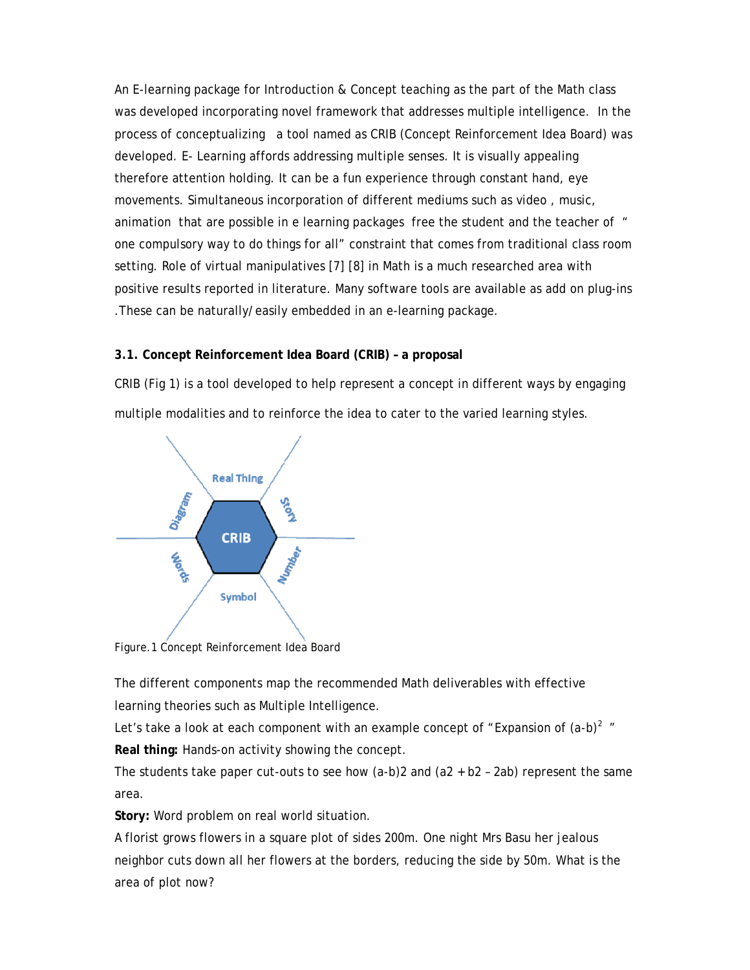An E-learning package for Introduction & Concept teaching as the part of the Math class was developed incorporating novel framework that addresses multiple intelligence. In the process of conceptualizing a tool named as CRIB (Concept Reinforcement Idea Board) was developed. E- Learning affords addressing multiple senses. It is visually appealing therefore attention holding. It can be a fun experience through constant hand, eye movements. Simultaneous incorporation of different mediums such as video , music, animation that are possible in e learning packages free the student and the teacher of " one compulsory way to do things for all" constraint that comes from traditional class room setting. Role of virtual manipulatives [7] [8] in Math is a much researched area with positive results reported in literature. Many software tools are available as add on plug-ins .These can be naturally/easily embedded in an e-learning package.

## **3.1. Concept Reinforcement Idea Board (CRIB) – a proposal**

CRIB (Fig 1) is a tool developed to help represent a concept in different ways by engaging multiple modalities and to reinforce the idea to cater to the varied learning styles.



Figure.1 Concept Reinforcement Idea Board

The different components map the recommended Math deliverables with effective learning theories such as Multiple Intelligence.

Let's take a look at each component with an example concept of "Expansion of  $(a-b)^2$ " **Real thing:** Hands-on activity showing the concept.

The students take paper cut-outs to see how (a-b)2 and (a2 + b2 – 2ab) represent the same area.

**Story:** Word problem on real world situation.

A florist grows flowers in a square plot of sides 200m. One night Mrs Basu her jealous neighbor cuts down all her flowers at the borders, reducing the side by 50m. What is the area of plot now?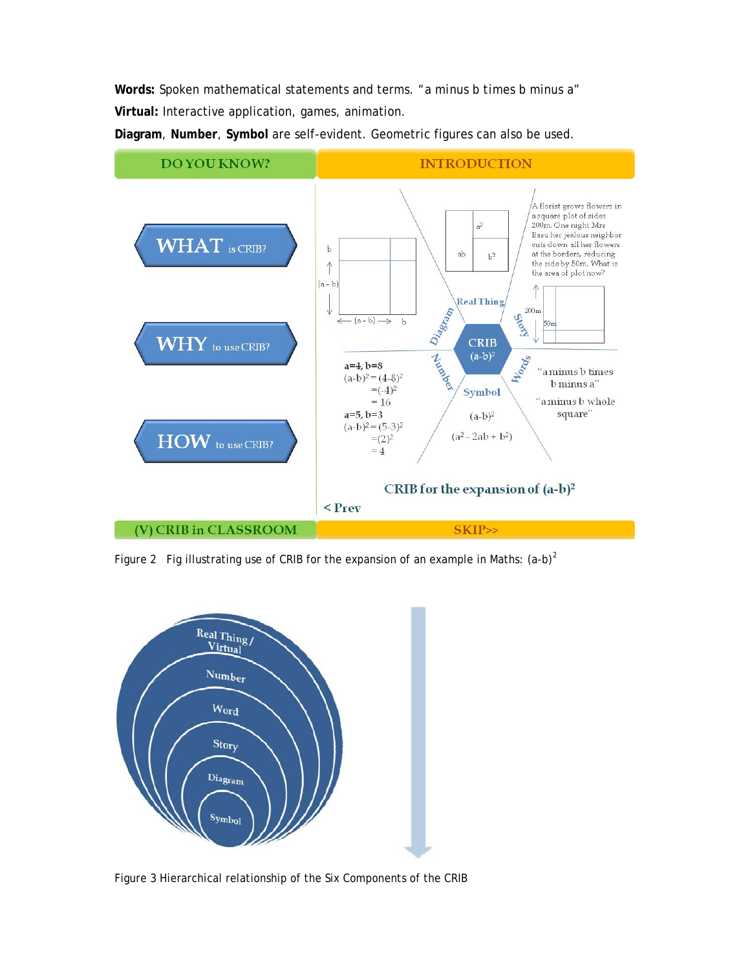**Words:** Spoken mathematical statements and terms. *"a minus b times b minus a"* **Virtual:** Interactive application, games, animation.

**Diagram**, **Number**, **Symbol** are self-evident. Geometric figures can also be used.



Figure 2 Fig illustrating use of CRIB for the expansion of an example in Maths:  $(a-b)^2$ 



Figure 3 Hierarchical relationship of the Six Components of the CRIB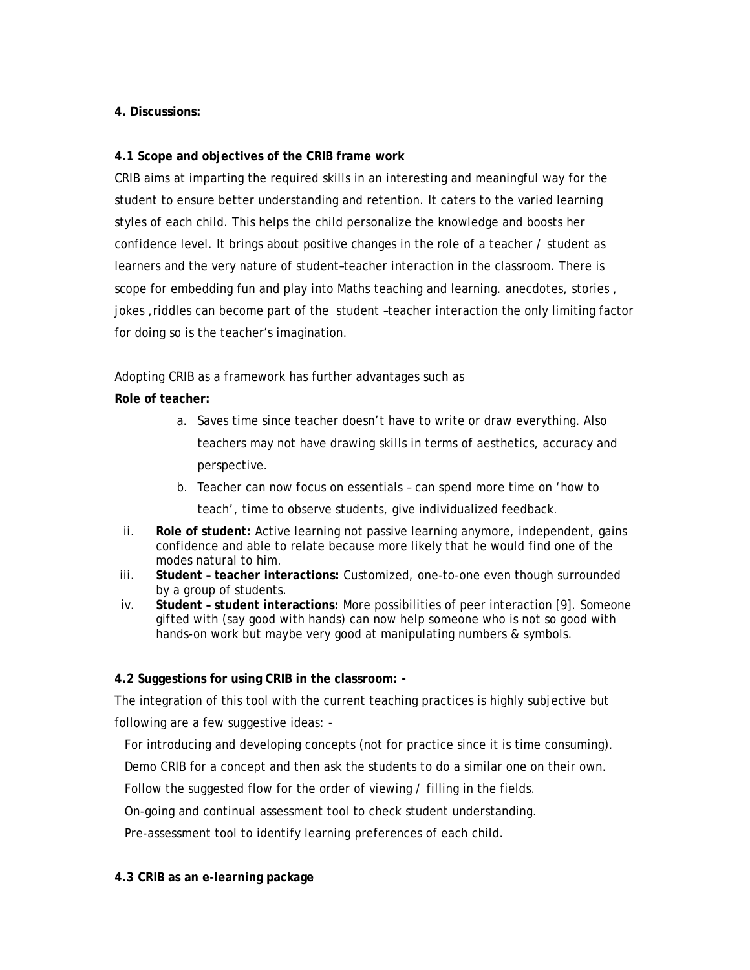# **4. Discussions:**

# **4.1 Scope and objectives of the CRIB frame work**

CRIB aims at imparting the required skills in an interesting and meaningful way for the student to ensure better understanding and retention. It caters to the varied learning styles of each child. This helps the child personalize the knowledge and boosts her confidence level. It brings about positive changes in the role of a teacher / student as learners and the very nature of student–teacher interaction in the classroom. There is scope for embedding fun and play into Maths teaching and learning. anecdotes, stories , jokes ,riddles can become part of the student –teacher interaction the only limiting factor for doing so is the teacher's imagination.

Adopting CRIB as a framework has further advantages such as

# **Role of teacher:**

- a. Saves time since teacher doesn't have to write or draw everything. Also teachers may not have drawing skills in terms of aesthetics, accuracy and perspective.
- b. Teacher can now focus on essentials can spend more time on 'how to teach', time to observe students, give individualized feedback.
- ii. **Role of student:** Active learning not passive learning anymore, independent, gains confidence and able to relate because more likely that he would find one of the modes natural to him.
- iii. **Student teacher interactions:** Customized, one-to-one even though surrounded by a group of students.
- iv. **Student student interactions:** More possibilities of peer interaction [9]. Someone gifted with (say good with hands) can now help someone who is not so good with hands-on work but maybe very good at manipulating numbers & symbols.

## **4.2 Suggestions for using CRIB in the classroom: -**

The integration of this tool with the current teaching practices is highly subjective but following are a few suggestive ideas: -

For introducing and developing concepts (not for practice since it is time consuming).

Demo CRIB for a concept and then ask the students to do a similar one on their own.

Follow the suggested flow for the order of viewing / filling in the fields.

On-going and continual assessment tool to check student understanding.

Pre-assessment tool to identify learning preferences of each child.

## **4.3 CRIB as an e-learning package**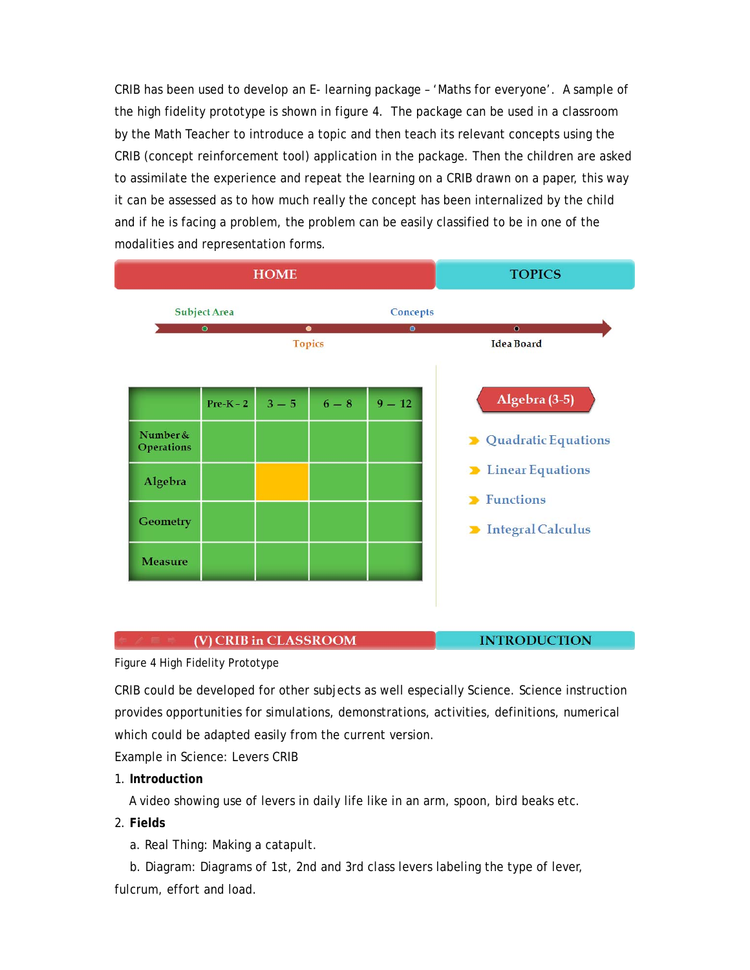CRIB has been used to develop an E- learning package – 'Maths for everyone'. A sample of the high fidelity prototype is shown in figure 4. The package can be used in a classroom by the Math Teacher to introduce a topic and then teach its relevant concepts using the CRIB (concept reinforcement tool) application in the package. Then the children are asked to assimilate the experience and repeat the learning on a CRIB drawn on a paper, this way it can be assessed as to how much really the concept has been internalized by the child and if he is facing a problem, the problem can be easily classified to be in one of the modalities and representation forms.

| <b>HOME</b>            |                     |         |                            |           | <b>TOPICS</b>                                 |
|------------------------|---------------------|---------|----------------------------|-----------|-----------------------------------------------|
|                        | <b>Subject Area</b> |         | Concepts                   |           |                                               |
|                        | $\bullet$           |         | $\bullet$<br><b>Topics</b> | $\bullet$ | $\bullet$<br><b>Idea Board</b>                |
|                        | $Pre-K-2$           | $3 - 5$ | $6-8$                      | $9 - 12$  | Algebra (3-5)                                 |
| Number &<br>Operations |                     |         |                            |           | > Quadratic Equations                         |
| Algebra                |                     |         |                            |           | <b>D</b> Linear Equations<br><b>Functions</b> |
| <b>Geometry</b>        |                     |         |                            |           | Integral Calculus                             |
| <b>Measure</b>         |                     |         |                            |           |                                               |
|                        |                     |         |                            |           |                                               |

#### (V) CRIB in CLASSROOM

**INTRODUCTION** 

Figure 4 High Fidelity Prototype

CRIB could be developed for other subjects as well especially Science. Science instruction provides opportunities for simulations, demonstrations, activities, definitions, numerical which could be adapted easily from the current version.

Example in Science: Levers CRIB

1. **Introduction**

A video showing use of levers in daily life like in an arm, spoon, bird beaks etc.

- 2. **Fields**
	- a. Real Thing: Making a catapult.

 b. Diagram: Diagrams of 1st, 2nd and 3rd class levers labeling the type of lever, fulcrum, effort and load.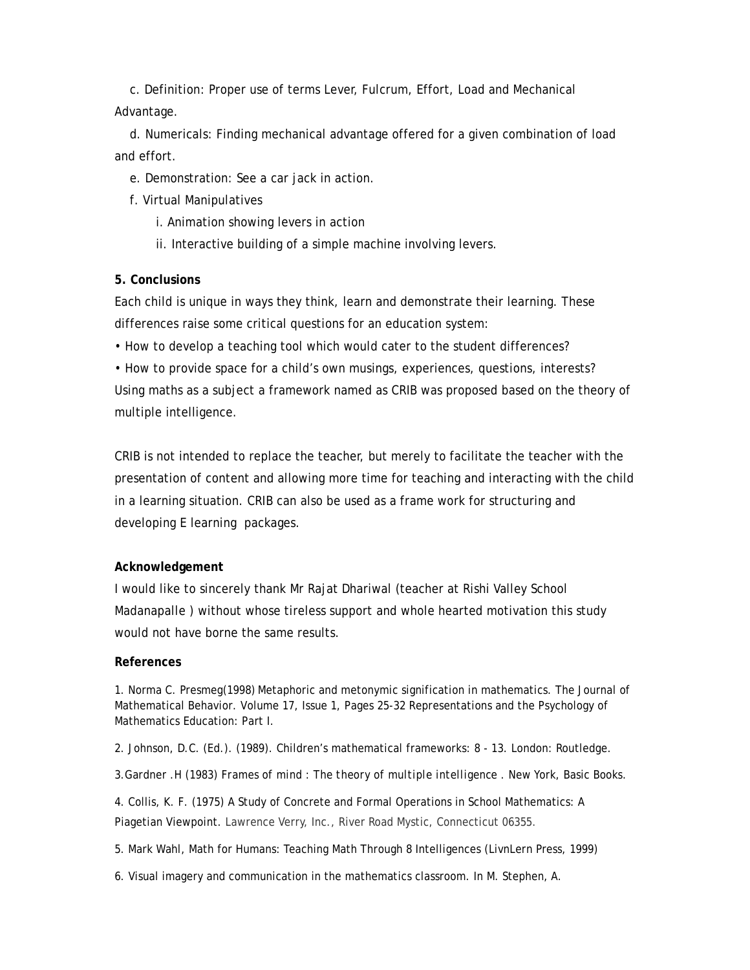c. Definition: Proper use of terms Lever, Fulcrum, Effort, Load and Mechanical Advantage.

 d. Numericals: Finding mechanical advantage offered for a given combination of load and effort.

e. Demonstration: See a car jack in action.

f. Virtual Manipulatives

i. Animation showing levers in action

ii. Interactive building of a simple machine involving levers.

## **5. Conclusions**

Each child is unique in ways they think, learn and demonstrate their learning. These differences raise some critical questions for an education system:

• How to develop a teaching tool which would cater to the student differences?

• How to provide space for a child's own musings, experiences, questions, interests? Using maths as a subject a framework named as CRIB was proposed based on the theory of multiple intelligence.

CRIB is not intended to replace the teacher, but merely to facilitate the teacher with the presentation of content and allowing more time for teaching and interacting with the child in a learning situation. CRIB can also be used as a frame work for structuring and developing E learning packages.

## **Acknowledgement**

I would like to sincerely thank Mr Rajat Dhariwal (teacher at Rishi Valley School Madanapalle ) without whose tireless support and whole hearted motivation this study would not have borne the same results.

## **References**

1. Norma C. Presmeg(1998) Metaphoric and metonymic signification in mathematics. The Journal of Mathematical Behavior. Volume 17, Issue 1, Pages 25-32 Representations and the Psychology of Mathematics Education: Part I.

2. Johnson, D.C. (Ed.). (1989). Children's mathematical frameworks: 8 - 13. London: Routledge.

3.Gardner .H (1983) *Frames of mind : The theory of multiple intelligence* . New York, Basic Books.

4. Collis, K. F. (1975) A Study of Concrete and Formal Operations in School Mathematics: A Piagetian Viewpoint. Lawrence Verry, Inc., River Road Mystic, Connecticut 06355.

5. Mark Wahl, Math for Humans: Teaching Math Through 8 Intelligences (LivnLern Press, 1999)

6. Visual imagery and communication in the mathematics classroom. In M. Stephen, A.